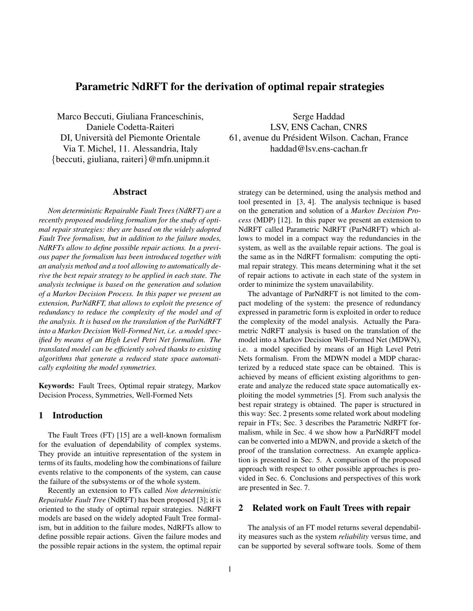# Parametric NdRFT for the derivation of optimal repair strategies

Marco Beccuti, Giuliana Franceschinis, Daniele Codetta-Raiteri DI, Universita del Piemonte Orientale ` Via T. Michel, 11. Alessandria, Italy {beccuti, giuliana, raiteri}@mfn.unipmn.it

### Abstract

*Non deterministic Repairable Fault Trees (NdRFT) are a recently proposed modeling formalism for the study of optimal repair strategies: they are based on the widely adopted Fault Tree formalism, but in addition to the failure modes, NdRFTs allow to define possible repair actions. In a previous paper the formalism has been introduced together with an analysis method and a tool allowing to automatically derive the best repair strategy to be applied in each state. The analysis technique is based on the generation and solution of a Markov Decision Process. In this paper we present an extension, ParNdRFT, that allows to exploit the presence of redundancy to reduce the complexity of the model and of the analysis. It is based on the translation of the ParNdRFT into a Markov Decision Well-Formed Net, i.e. a model specified by means of an High Level Petri Net formalism. The translated model can be efficiently solved thanks to existing algorithms that generate a reduced state space automatically exploiting the model symmetries.*

Keywords: Fault Trees, Optimal repair strategy, Markov Decision Process, Symmetries, Well-Formed Nets

### 1 Introduction

The Fault Trees (FT) [15] are a well-known formalism for the evaluation of dependability of complex systems. They provide an intuitive representation of the system in terms of its faults, modeling how the combinations of failure events relative to the components of the system, can cause the failure of the subsystems or of the whole system.

Recently an extension to FTs called *Non deterministic Repairable Fault Tree* (NdRFT) has been proposed [3]; it is oriented to the study of optimal repair strategies. NdRFT models are based on the widely adopted Fault Tree formalism, but in addition to the failure modes, NdRFTs allow to define possible repair actions. Given the failure modes and the possible repair actions in the system, the optimal repair

Serge Haddad LSV, ENS Cachan, CNRS 61, avenue du Président Wilson. Cachan, France haddad@lsv.ens-cachan.fr

strategy can be determined, using the analysis method and tool presented in [3, 4]. The analysis technique is based on the generation and solution of a *Markov Decision Process* (MDP) [12]. In this paper we present an extension to NdRFT called Parametric NdRFT (ParNdRFT) which allows to model in a compact way the redundancies in the system, as well as the available repair actions. The goal is the same as in the NdRFT formalism: computing the optimal repair strategy. This means determining what it the set of repair actions to activate in each state of the system in order to minimize the system unavailability.

The advantage of ParNdRFT is not limited to the compact modeling of the system: the presence of redundancy expressed in parametric form is exploited in order to reduce the complexity of the model analysis. Actually the Parametric NdRFT analysis is based on the translation of the model into a Markov Decision Well-Formed Net (MDWN), i.e. a model specified by means of an High Level Petri Nets formalism. From the MDWN model a MDP characterized by a reduced state space can be obtained. This is achieved by means of efficient existing algorithms to generate and analyze the reduced state space automatically exploiting the model symmetries [5]. From such analysis the best repair strategy is obtained. The paper is structured in this way: Sec. 2 presents some related work about modeling repair in FTs; Sec. 3 describes the Parametric NdRFT formalism, while in Sec. 4 we show how a ParNdRFT model can be converted into a MDWN, and provide a sketch of the proof of the translation correctness. An example application is presented in Sec. 5. A comparison of the proposed approach with respect to other possible approaches is provided in Sec. 6. Conclusions and perspectives of this work are presented in Sec. 7.

### 2 Related work on Fault Trees with repair

The analysis of an FT model returns several dependability measures such as the system *reliability* versus time, and can be supported by several software tools. Some of them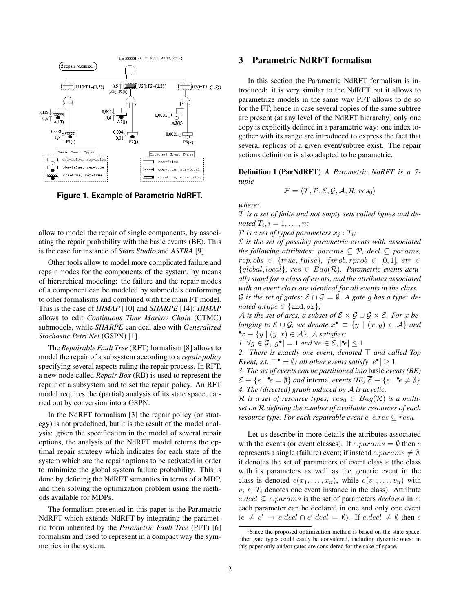

**Figure 1. Example of Parametric NdRFT.**

allow to model the repair of single components, by associating the repair probability with the basic events (BE). This is the case for instance of *Stars Studio* and *ASTRA* [9].

Other tools allow to model more complicated failure and repair modes for the components of the system, by means of hierarchical modeling: the failure and the repair modes of a component can be modeled by submodels conforming to other formalisms and combined with the main FT model. This is the case of *HIMAP* [10] and *SHARPE* [14]: *HIMAP* allows to edit *Continuous Time Markov Chain* (CTMC) submodels, while *SHARPE* can deal also with *Generalized Stochastic Petri Net* (GSPN) [1].

The *Repairable Fault Tree* (RFT) formalism [8] allows to model the repair of a subsystem according to a *repair policy* specifying several aspects ruling the repair process. In RFT, a new node called *Repair Box* (RB) is used to represent the repair of a subsystem and to set the repair policy. An RFT model requires the (partial) analysis of its state space, carried out by conversion into a GSPN.

In the NdRFT formalism [3] the repair policy (or strategy) is not predefined, but it is the result of the model analysis: given the specification in the model of several repair options, the analysis of the NdRFT model returns the optimal repair strategy which indicates for each state of the system which are the repair options to be activated in order to minimize the global system failure probability. This is done by defining the NdRFT semantics in terms of a MDP, and then solving the optimization problem using the methods available for MDPs.

The formalism presented in this paper is the Parametric NdRFT which extends NdRFT by integrating the parametric form inherited by the *Parametric Fault Tree* (PFT) [6] formalism and used to represent in a compact way the symmetries in the system.

### 3 Parametric NdRFT formalism

In this section the Parametric NdRFT formalism is introduced: it is very similar to the NdRFT but it allows to parametrize models in the same way PFT allows to do so for the FT; hence in case several copies of the same subtree are present (at any level of the NdRFT hierarchy) only one copy is explicitly defined in a parametric way: one index together with its range are introduced to express the fact that several replicas of a given event/subtree exist. The repair actions definition is also adapted to be parametric.

Definition 1 (ParNdRFT) *A Parametric NdRFT is a 7 tuple*

$$
\mathcal{F} = \langle \mathcal{T}, \mathcal{P}, \mathcal{E}, \mathcal{G}, \mathcal{A}, \mathcal{R}, res_0 \rangle
$$

*where:*

T *is a set of finite and not empty sets called* types *and de-* $\textit{noted } T_i, i = 1, \ldots, n;$ 

 $P$  *is a set of typed parameters*  $x_i : T_i$ ;

E *is the set of possibly parametric events with associated the following attributes:*  $params \subseteq P$ *, decl*  $\subseteq$   $params$ *,*  $rep, obs \in \{true, false\}, \text{ } fprob, rprob \in [0, 1], \text{ } str \in$ {global, local}*,* res ∈ Bag(R)*. Parametric events actually stand for a class of events, and the attributes associated with an event class are identical for all events in the class.*

 $\mathcal G$  *is the set of gates;*  $\mathcal E \cap \mathcal G = \emptyset$ . A gate g has a type<sup>1</sup> de*noted*  $q.type \in \{and, or\}$ ;

A *is the set of arcs, a subset of*  $\mathcal{E} \times \mathcal{G} \cup \mathcal{G} \times \mathcal{E}$ *. For x belonging to*  $\mathcal{E} \cup \mathcal{G}$ *, we denote*  $x^{\bullet} \equiv \{y \mid (x, y) \in \mathcal{A}\}\$ and •x ≡ {y | (y, x) ∈ A}*.* A *satisfies:*

*1.*  $\forall g \in \mathcal{G}, |g^{\bullet}| = 1$  *and*  $\forall e \in \mathcal{E}, |\mathbf{e}| \leq 1$ 

2. There is exactly one event, denoted  $\top$  and called Top *Event, s.t.*  $\top$  • =  $\emptyset$ *; all other events satisfy*  $|e^{\bullet}| \geq 1$ 

*3. The set of events can be partitioned into* basic *events (BE)*  $\underline{\mathcal{E}} \equiv \{e \mid \mathbf{e} \in \emptyset\}$  *and* internal *events* (*IE*)  $\overline{\mathcal{E}} \equiv \{e \mid \mathbf{e} \neq \emptyset\}$ *4. The (directed) graph induced by* A *is acyclic.*

 $\mathcal R$  is a set of resource types;  $res_0 \in Bag(\mathcal R)$  is a multi*set on* R *defining the number of available resources of each resource type. For each repairable event e, e.res*  $\subset$  *res*<sub>0</sub>*.* 

Let us describe in more details the attributes associated with the events (or event classes). If  $e.params = \emptyset$  then  $e$ represents a single (failure) event; if instead  $e.parent \neq \emptyset$ , it denotes the set of parameters of event class  $e$  (the class with its parameters as well as the generic event in the class is denoted  $e(x_1, \ldots, x_n)$ , while  $e(v_1, \ldots, v_n)$  with  $v_i \in T_i$  denotes one event instance in the class). Attribute  $e-decl \subseteq e.params$  is the set of parameters *declared* in e; each parameter can be declared in one and only one event  $(e \neq e' \rightarrow e-decl \cap e'.decl = \emptyset)$ . If  $e.decl \neq \emptyset$  then  $e$ 

<sup>&</sup>lt;sup>1</sup>Since the proposed optimization method is based on the state space, other gate types could easily be considered, including dynamic ones: in this paper only and/or gates are considered for the sake of space.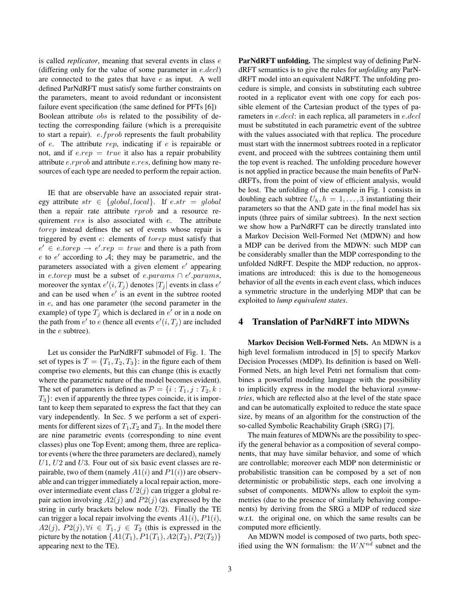is called *replicator*, meaning that several events in class e (differing only for the value of some parameter in  $e.decl$ ) are connected to the gates that have  $e$  as input. A well defined ParNdRFT must satisfy some further constraints on the parameters, meant to avoid redundant or inconsistent failure event specification (the same defined for PFTs [6]) Boolean attribute obs is related to the possibility of detecting the corresponding failure (which is a prerequisite to start a repair).  $e.fprob$  represents the fault probability of  $e$ . The attribute  $rep$ , indicating if  $e$  is repairable or not, and if  $e.rep = true$  it also has a repair probability attribute e.rprob and attribute e.res, defining how many resources of each type are needed to perform the repair action.

IE that are observable have an associated repair strategy attribute  $str \in \{global, local\}$ . If  $e. str = global$ then a repair rate attribute rprob and a resource requirement res is also associated with e. The attribute torep instead defines the set of events whose repair is triggered by event  $e$ : elements of  $torep$  must satisfy that  $e' \in e \textit{.} to \textit{rep} \rightarrow e' \textit{.} rep = \textit{true}$  and there is a path from  $e$  to  $e'$  according to  $A$ ; they may be parametric, and the parameters associated with a given element  $e'$  appearing in e.torep must be a subset of e.params  $\cap$  e'.params, moreover the syntax  $e'(i, T_j)$  denotes  $|T_j|$  events in class  $e'(i, T_j)$ and can be used when  $e'$  is an event in the subtree rooted in e, and has one parameter (the second parameter in the example) of type  $T_j$  which is declared in  $e'$  or in a node on the path from  $e'$  to  $e$  (hence all events  $e'(i, T_j)$  are included in the e subtree).

Let us consider the ParNdRFT submodel of Fig. 1. The set of types is  $\mathcal{T} = \{T_1, T_2, T_3\}$ : in the figure each of them comprise two elements, but this can change (this is exactly where the parametric nature of the model becomes evident). The set of parameters is defined as  $P = \{i : T_1, j : T_2, k :$  $T_3$ : even if apparently the three types coincide, it is important to keep them separated to express the fact that they can vary independently. In Sec. 5 we perform a set of experiments for different sizes of  $T_1, T_2$  and  $T_3$ . In the model there are nine parametric events (corresponding to nine event classes) plus one Top Event; among them, three are replicator events (where the three parameters are declared), namely  $U1, U2$  and  $U3$ . Four out of six basic event classes are repairable, two of them (namely  $A1(i)$  and  $P1(i)$ ) are observable and can trigger immediately a local repair action, moreover intermediate event class  $U2(j)$  can trigger a global repair action involving  $A2(j)$  and  $P2(j)$  (as expressed by the string in curly brackets below node  $U2$ ). Finally the TE can trigger a local repair involving the events  $A1(i)$ ,  $P1(i)$ ,  $A2(j), P2(j), \forall i \in T_1, j \in T_2$  (this is expressed in the picture by the notation  $\{A1(T_1), P1(T_1), A2(T_2), P2(T_2)\}$ appearing next to the TE).

ParNdRFT unfolding. The simplest way of defining ParNdRFT semantics is to give the rules for *unfolding* any ParNdRFT model into an equivalent NdRFT. The unfolding procedure is simple, and consists in substituting each subtree rooted in a replicator event with one copy for each possible element of the Cartesian product of the types of parameters in e.decl: in each replica, all parameters in e.decl must be substituted in each parametric event of the subtree with the values associated with that replica. The procedure must start with the innermost subtrees rooted in a replicator event, and proceed with the subtrees containing them until the top event is reached. The unfolding procedure however is not applied in practice because the main benefits of ParNdRFTs, from the point of view of efficient analysis, would be lost. The unfolding of the example in Fig. 1 consists in doubling each subtree  $U_h$ ,  $h = 1, \ldots, 3$  instantiating their parameters so that the AND gate in the final model has six inputs (three pairs of similar subtrees). In the next section we show how a ParNdRFT can be directly translated into a Markov Decision Well-Formed Net (MDWN) and how a MDP can be derived from the MDWN: such MDP can be considerably smaller than the MDP corresponding to the unfolded NdRFT. Despite the MDP reduction, no approximations are introduced: this is due to the homogeneous behavior of all the events in each event class, which induces a symmetric structure in the underlying MDP that can be exploited to *lump equivalent states*.

## 4 Translation of ParNdRFT into MDWNs

Markov Decision Well-Formed Nets. An MDWN is a high level formalism introduced in [5] to specify Markov Decision Processes (MDP). Its definition is based on Well-Formed Nets, an high level Petri net formalism that combines a powerful modeling language with the possibility to implicitly express in the model the behavioral *symmetries*, which are reflected also at the level of the state space and can be automatically exploited to reduce the state space size, by means of an algorithm for the construction of the so-called Symbolic Reachability Graph (SRG) [7].

The main features of MDWNs are the possibility to specify the general behavior as a composition of several components, that may have similar behavior, and some of which are controllable; moreover each MDP non deterministic or probabilistic transition can be composed by a set of non deterministic or probabilistic steps, each one involving a subset of components. MDWNs allow to exploit the symmetries (due to the presence of similarly behaving components) by deriving from the SRG a MDP of reduced size w.r.t. the original one, on which the same results can be computed more efficiently.

An MDWN model is composed of two parts, both specified using the WN formalism: the  $WN^{nd}$  subnet and the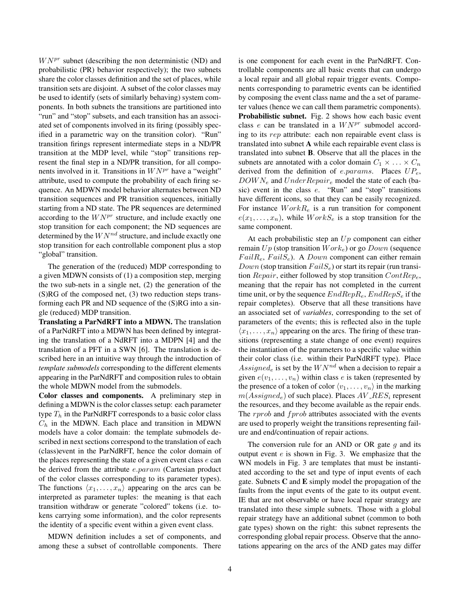$W N^{pr}$  subnet (describing the non deterministic (ND) and probabilistic (PR) behavior respectively); the two subnets share the color classes definition and the set of places, while transition sets are disjoint. A subset of the color classes may be used to identify (sets of similarly behaving) system components. In both subnets the transitions are partitioned into "run" and "stop" subsets, and each transition has an associated set of components involved in its firing (possibly specified in a parametric way on the transition color). "Run" transition firings represent intermediate steps in a ND/PR transition at the MDP level, while "stop" transitions represent the final step in a ND/PR transition, for all components involved in it. Transitions in  $W N^{pr}$  have a "weight" attribute, used to compute the probability of each firing sequence. An MDWN model behavior alternates between ND transition sequences and PR transition sequences, initially starting from a ND state. The PR sequences are determined according to the  $W N^{pr}$  structure, and include exactly one stop transition for each component; the ND sequences are determined by the  $WN^{nd}$  structure, and include exactly one stop transition for each controllable component plus a stop "global" transition.

The generation of the (reduced) MDP corresponding to a given MDWN consists of (1) a composition step, merging the two sub-nets in a single net, (2) the generation of the (S)RG of the composed net, (3) two reduction steps transforming each PR and ND sequence of the (S)RG into a single (reduced) MDP transition.

Translating a ParNdRFT into a MDWN. The translation of a ParNdRFT into a MDWN has been defined by integrating the translation of a NdRFT into a MDPN [4] and the translation of a PFT in a SWN [6]. The translation is described here in an intuitive way through the introduction of *template submodels* corresponding to the different elements appearing in the ParNdRFT and composition rules to obtain the whole MDWN model from the submodels.

Color classes and components. A preliminary step in defining a MDWN is the color classes setup: each parameter type  $T_h$  in the ParNdRFT corresponds to a basic color class  $C_h$  in the MDWN. Each place and transition in MDWN models have a color domain: the template submodels described in next sections correspond to the translation of each (class)event in the ParNdRFT, hence the color domain of the places representing the state of a given event class  $e$  can be derived from the attribute *e.param* (Cartesian product of the color classes corresponding to its parameter types). The functions  $\langle x_1, \ldots, x_n \rangle$  appearing on the arcs can be interpreted as parameter tuples: the meaning is that each transition withdraw or generate "colored" tokens (i.e. tokens carrying some information), and the color represents the identity of a specific event within a given event class.

MDWN definition includes a set of components, and among these a subset of controllable components. There is one component for each event in the ParNdRFT. Controllable components are all basic events that can undergo a local repair and all global repair trigger events. Components corresponding to parametric events can be identified by composing the event class name and the a set of parameter values (hence we can call them parametric components). Probabilistic subnet. Fig. 2 shows how each basic event class  $e$  can be translated in a  $W N^{pr}$  submodel according to its rep attribute: each non repairable event class is translated into subnet A while each repairable event class is translated into subnet B. Observe that all the places in the subnets are annotated with a color domain  $C_1 \times \ldots \times C_n$ derived from the definition of e.params. Places  $UP_e$ ,  $DOWN_e$  and  $UnderRepair_e$  model the state of each (basic) event in the class  $e$ . "Run" and "stop" transitions have different icons, so that they can be easily recognized. For instance  $WorkR_e$  is a run transition for component  $e(x_1, \ldots, x_n)$ , while  $WorkS_e$  is a stop transition for the same component.

At each probabilistic step an  $Up$  component can either remain  $Up$  (stop transition  $Work_e$ ) or go  $Down$  (sequence  $FailR_e$ ,  $FailS_e$ ). A *Down* component can either remain  $Down$  (stop transition  $FallS_e$ ) or start its repair (run transition  $Repair$ , either followed by stop transition  $ContRep_e$ , meaning that the repair has not completed in the current time unit, or by the sequence  $EndRepR_e$ ,  $EndRepS_e$  if the repair completes). Observe that all these transitions have an associated set of *variables*, corresponding to the set of parameters of the events; this is reflected also in the tuple  $\langle x_1, \ldots, x_n \rangle$  appearing on the arcs. The firing of these transitions (representing a state change of one event) requires the instantiation of the parameters to a specific value within their color class (i.e. within their ParNdRFT type). Place Assigned<sub>e</sub> is set by the  $WN^{nd}$  when a decision to repair a given  $e(v_1, \ldots, v_n)$  within class e is taken (represented by the presence of a token of color  $\langle v_1, \ldots, v_n \rangle$  in the marking  $m(Assigned<sub>e</sub>)$  of such place). Places  $AV\_RES<sub>i</sub>$  represent the resources, and they become available as the repair ends. The  $rprob$  and  $fprob$  attributes associated with the events are used to properly weight the transitions representing failure and end/continuation of repair actions.

The conversion rule for an AND or OR gate  $g$  and its output event  $e$  is shown in Fig. 3. We emphasize that the WN models in Fig. 3 are templates that must be instantiated according to the set and type of input events of each gate. Subnets C and E simply model the propagation of the faults from the input events of the gate to its output event. IE that are not observable or have local repair strategy are translated into these simple subnets. Those with a global repair strategy have an additional subnet (common to both gate types) shown on the right: this subnet represents the corresponding global repair process. Observe that the annotations appearing on the arcs of the AND gates may differ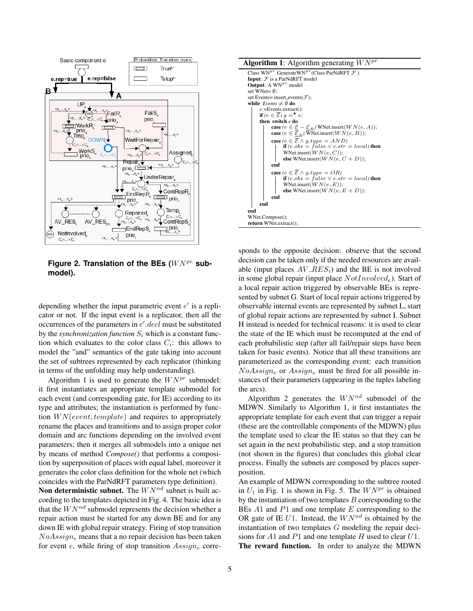

Figure 2. Translation of the BEs ( $WN^{pr}$  sub**model).**

depending whether the input parametric event  $e'$  is a replicator or not. If the input event is a replicator, then all the occurrences of the parameters in  $e'$ .  $decl$  must be substituted by the *synchronization function*  $S_i$  which is a constant function which evaluates to the color class  $C_i$ : this allows to model the "and" semantics of the gate taking into account the set of subtrees represented by each replicator (thinking in terms of the unfolding may help understanding).

Algorithm 1 is used to generate the  $W N^{pr}$  submodel: it first instantiates an appropriate template submodel for each event (and corresponding gate, for IE) according to its type and attributes; the instantiation is performed by function  $WN(event, template)$  and requires to appropriately rename the places and transitions and to assign proper color domain and arc functions depending on the involved event parameters; then it merges all submodels into a unique net by means of method *Compose()* that performs a composition by superposition of places with equal label, moreover it generates the color class definition for the whole net (which coincides with the ParNdRFT parameters type definition).

Non deterministic subnet. The  $WN^{nd}$  subnet is built according to the templates depicted in Fig. 4. The basic idea is that the  $WN^{nd}$  submodel represents the decision whether a repair action must be started for any down BE and for any down IE with global repair strategy. Firing of stop transition  $NoAssign_e$  means that a no repair decision has been taken for event e, while firing of stop transition  $Assign_e$  corre-



sponds to the opposite decision: observe that the second decision can be taken only if the needed resources are available (input places  $AV\_RES_i$ ) and the BE is not involved in some global repair (input place  $NotInvolved<sub>e</sub>$ ). Start of a local repair action triggered by observable BEs is represented by subnet G. Start of local repair actions triggered by observable internal events are represented by subnet L, start of global repair actions are represented by subnet I. Subnet H instead is needed for technical reasons: it is used to clear the state of the IE which must be recomputed at the end of each probabilistic step (after all fail/repair steps have been taken for basic events). Notice that all these transitions are parameterized as the corresponding event: each transition  $NoAssign_e$  or  $Assign_e$  must be fired for all possible instances of their parameters (appearing in the tuples labeling the arcs).

Algorithm 2 generates the  $WN^{nd}$  submodel of the MDWN. Similarly to Algorithm 1, it first instantiates the appropriate template for each event that can trigger a repair (these are the controllable components of the MDWN) plus the template used to clear the IE status so that they can be set again in the next probabilistic step, and a stop transition (not shown in the figures) that concludes this global clear process. Finally the subnets are composed by places superposition.

An example of MDWN corresponding to the subtree rooted in  $U_1$  in Fig. 1 is shown in Fig. 5. The  $W N^{pr}$  is obtained by the instantiation of two templates  $B$  corresponding to the BEs  $A1$  and  $P1$  and one template  $E$  corresponding to the OR gate of IE  $U1$ . Instead, the  $WN^{nd}$  is obtained by the instantiation of two templates G modeling the repair decisions for A1 and P1 and one template H used to clear  $U1$ . The reward function. In order to analyze the MDWN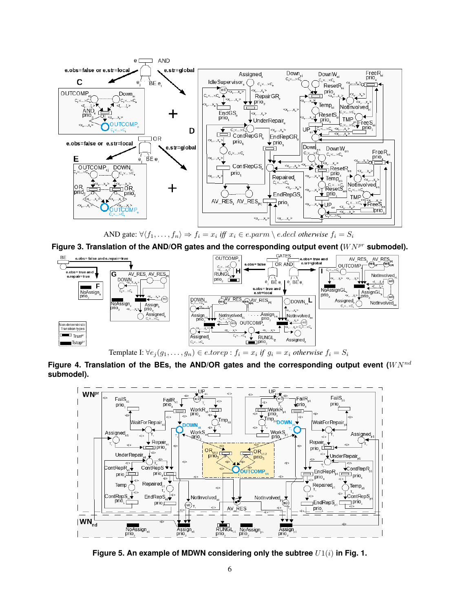

AND gate:  $\forall \langle f_1, \ldots, f_n \rangle \Rightarrow f_i = x_i \text{ iff } x_i \in e \text{.} \text{param} \setminus e \text{.} \text{decl} \text{ otherwise } f_i = S_i$ 

Figure 3. Translation of the AND/OR gates and the corresponding output event ( $W N^{pr}$  submodel).



Figure 4. Translation of the BEs, the AND/OR gates and the corresponding output event  $(WN^{nd}$ **submodel).**



Figure 5. An example of MDWN considering only the subtree  $U1(i)$  in Fig. 1.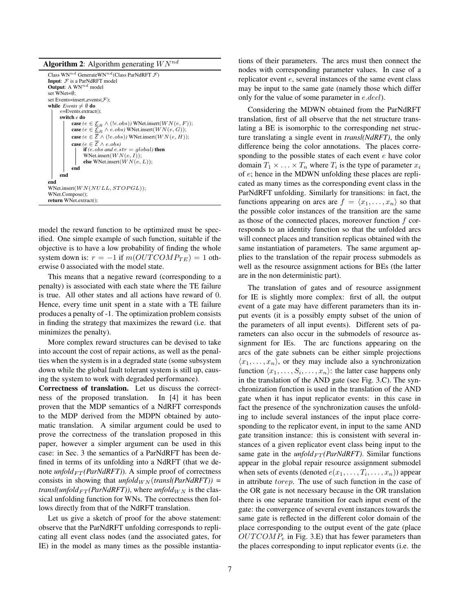Algorithm 2: Algorithm generating  $WN^{nd}$ 

| Class WN <sup>nd</sup> GenerateWN <sup>nd</sup> (Class ParNdRFT $\mathcal{F}$ )                  |
|--------------------------------------------------------------------------------------------------|
| <b>Input:</b> $F$ is a ParNdRFT model                                                            |
| <b>Output:</b> A $WN^{nd}$ model                                                                 |
| set WNet= $\emptyset$ :                                                                          |
| set Events=insert_events $(F)$ ;                                                                 |
| while <i>Events</i> $\neq \emptyset$ do                                                          |
| $e =$ Events.extract();                                                                          |
| switch e do                                                                                      |
| <b>case</b> ( $e \in \mathcal{E}_B \wedge (!e.obs)$ ) WNet.insert( $WN(e, F)$ );                 |
| <b>case</b> ( $e \in \underline{\mathcal{E}}_R \wedge e \cdot obs$ ) WNet.insert( $WN(e, G)$ );  |
| <b>case</b> ( $e \in \overline{\mathcal{E}} \wedge (!e.\text{obs})$ ) WNet.insert( $WN(e, H)$ ); |
| <b>case</b> $(e \in \overline{\mathcal{E}} \wedge e \cdot obs)$                                  |
| <b>if</b> (e.obs and e.str = qlobal) <b>then</b>                                                 |
| WNet.insert $(WN(e, I));$                                                                        |
| else WNet.insert $(WN(e, L))$ ;                                                                  |
| end                                                                                              |
| end                                                                                              |
| end                                                                                              |
| WNet.insert $(WN(NULL,STOPGL));$                                                                 |
| WNet.Compose();                                                                                  |
| return WNet.extract();                                                                           |
|                                                                                                  |

model the reward function to be optimized must be specified. One simple example of such function, suitable if the objective is to have a low probability of finding the whole system down is:  $r = -1$  if  $m(OUTCOMP_{TE}) = 1$  otherwise 0 associated with the model state.

This means that a negative reward (corresponding to a penalty) is associated with each state where the TE failure is true. All other states and all actions have reward of 0. Hence, every time unit spent in a state with a TE failure produces a penalty of -1. The optimization problem consists in finding the strategy that maximizes the reward (i.e. that minimizes the penalty).

More complex reward structures can be devised to take into account the cost of repair actions, as well as the penalties when the system is in a degraded state (some subsystem down while the global fault tolerant system is still up, causing the system to work with degraded performance).

Correctness of translation. Let us discuss the correctness of the proposed translation. In [4] it has been proven that the MDP semantics of a NdRFT corresponds to the MDP derived from the MDPN obtained by automatic translation. A similar argument could be used to prove the correctness of the translation proposed in this paper, however a simpler argument can be used in this case: in Sec. 3 the semantics of a ParNdRFT has been defined in terms of its unfolding into a NdRFT (that we denote  $\text{unfold}_{FT}(\text{ParNdRFT})$ ). A simple proof of correctness consists in showing that  $\text{unfold}_{WN}(\text{transl}(\text{ParNdRFT}))$  = *transl(unfold*<sub>FT</sub>(ParNdRFT)), where  $\mu$ *nfold*<sub>WN</sub> is the classical unfolding function for WNs. The correctness then follows directly from that of the NdRFT translation.

Let us give a sketch of proof for the above statement: observe that the ParNdRFT unfolding corresponds to replicating all event class nodes (and the associated gates, for IE) in the model as many times as the possible instantiations of their parameters. The arcs must then connect the nodes with corresponding parameter values. In case of a replicator event e, several instances of the same event class may be input to the same gate (namely those which differ only for the value of some parameter in e.decl).

Considering the MDWN obtained from the ParNdRFT translation, first of all observe that the net structure translating a BE is isomorphic to the corresponding net structure translating a single event in *transl(NdRFT)*, the only difference being the color annotations. The places corresponding to the possible states of each event e have color domain  $T_1 \times \ldots \times T_n$  where  $T_i$  is the type of parameter  $x_i$ of e; hence in the MDWN unfolding these places are replicated as many times as the corresponding event class in the ParNdRFT unfolding. Similarly for transitions: in fact, the functions appearing on arcs are  $f = \langle x_1, \ldots, x_n \rangle$  so that the possible color instances of the transition are the same as those of the connected places, moreover function  $f$  corresponds to an identity function so that the unfolded arcs will connect places and transition replicas obtained with the same instantiation of parameters. The same argument applies to the translation of the repair process submodels as well as the resource assignment actions for BEs (the latter are in the non deterministic part).

The translation of gates and of resource assignment for IE is slightly more complex: first of all, the output event of a gate may have different parameters than its input events (it is a possibly empty subset of the union of the parameters of all input events). Different sets of parameters can also occur in the submodels of resource assignment for IEs. The arc functions appearing on the arcs of the gate subnets can be either simple projections  $\langle x_1, \ldots, x_n \rangle$ , or they may include also a synchronization function  $\langle x_1, \ldots, S_i, \ldots, x_n \rangle$ : the latter case happens only in the translation of the AND gate (see Fig. 3.C). The synchronization function is used in the translation of the AND gate when it has input replicator events: in this case in fact the presence of the synchronization causes the unfolding to include several instances of the input place corresponding to the replicator event, in input to the same AND gate transition instance: this is consistent with several instances of a given replicator event class being input to the same gate in the  $\text{unfold}_{FT}(\text{ParNdRFT})$ . Similar functions appear in the global repair resource assignment submodel when sets of events (denoted  $e(x_1, \ldots, T_i, \ldots, x_n)$ ) appear in attribute torep. The use of such function in the case of the OR gate is not necessary because in the OR translation there is one separate transition for each input event of the gate: the convergence of several event instances towards the same gate is reflected in the different color domain of the place corresponding to the output event of the gate (place  $OUTCOMP<sub>e</sub>$  in Fig. 3.E) that has fewer parameters than the places corresponding to input replicator events (i.e. the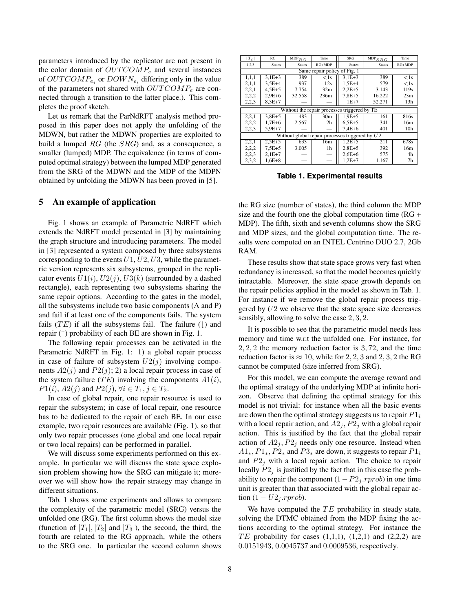parameters introduced by the replicator are not present in the color domain of  $OUTCOMP_e$  and several instances of  $OUTCOMP_{e_i}$  or  $DOWN_{e_i}$  differing only in the value of the parameters not shared with  $OUTCOMP_e$  are connected through a transition to the latter place.). This completes the proof sketch.

Let us remark that the ParNdRFT analysis method proposed in this paper does not apply the unfolding of the MDWN, but rather the MDWN properties are exploited to build a lumped  $RG$  (the  $SRG$ ) and, as a consequence, a smaller (lumped) MDP. The equivalence (in terms of computed optimal strategy) between the lumped MDP generated from the SRG of the MDWN and the MDP of the MDPN obtained by unfolding the MDWN has been proved in [5].

#### 5 An example of application

Fig. 1 shows an example of Parametric NdRFT which extends the NdRFT model presented in [3] by maintaining the graph structure and introducing parameters. The model in [3] represented a system composed by three subsystems corresponding to the events  $U1, U2, U3$ , while the parametric version represents six subsystems, grouped in the replicator events  $U1(i)$ ,  $U2(j)$ ,  $U3(k)$  (surrounded by a dashed rectangle), each representing two subsystems sharing the same repair options. According to the gates in the model, all the subsystems include two basic components (A and P) and fail if at least one of the components fails. The system fails (TE) if all the subsystems fail. The failure  $(\downarrow)$  and repair ( $\uparrow$ ) probability of each BE are shown in Fig. 1.

The following repair processes can be activated in the Parametric NdRFT in Fig. 1: 1) a global repair process in case of failure of subsystem  $U_2(j)$  involving components  $A2(j)$  and  $P2(j)$ ; 2) a local repair process in case of the system failure  $(TE)$  involving the components  $A1(i)$ ,  $P1(i)$ ,  $A2(j)$  and  $P2(j)$ ,  $\forall i \in T_1, j \in T_2$ .

In case of global repair, one repair resource is used to repair the subsystem; in case of local repair, one resource has to be dedicated to the repair of each BE. In our case example, two repair resources are available (Fig. 1), so that only two repair processes (one global and one local repair or two local repairs) can be performed in parallel.

We will discuss some experiments performed on this example. In particular we will discuss the state space explosion problem showing how the SRG can mitigate it; moreover we will show how the repair strategy may change in different situations.

Tab. 1 shows some experiments and allows to compare the complexity of the parametric model (SRG) versus the unfolded one (RG). The first column shows the model size (function of  $|T_1|, |T_2|$  and  $|T_3|$ ), the second, the third, the fourth are related to the RG approach, while the others to the SRG one. In particular the second column shows

| $T_i$                                             | RG            | $\mathsf{MDP}_{RG}$ | Time            | <b>SRG</b>    | $\mathsf{MDP}_{S\,RG}$ | Time            |  |
|---------------------------------------------------|---------------|---------------------|-----------------|---------------|------------------------|-----------------|--|
| 1,2,3                                             | <b>States</b> | <b>States</b>       | $RG+MDP$        | <b>States</b> | <b>States</b>          | $RG+MDP$        |  |
| Same repair policy of Fig. 1                      |               |                     |                 |               |                        |                 |  |
| 1, 1, 1                                           | $3,1E+3$      | 389                 | $<$ 1s          | $3.1E + 3$    | 389                    | $<$ 1s          |  |
| 2,1,1                                             | $3.5E+4$      | 937                 | 12s             | $1.5E + 4$    | 579                    | $<$ 1s          |  |
| 2,2,1                                             | $4,5E+5$      | 7.754               | 32m             | $2,2E+5$      | 3.143                  | 119s            |  |
| 2,2,2                                             | $2.9E + 6$    | 32.558              | 236m            | $7,8E+5$      | 16.222                 | 23m             |  |
| 2,2,3                                             | $8.3E + 7$    |                     |                 | $1E+7$        | 52.271                 | 13h             |  |
| Without the repair processes triggered by TE      |               |                     |                 |               |                        |                 |  |
| 2,2,1                                             | $3,8E+5$      | 483                 | 30 <sub>m</sub> | $1.9E + 5$    | 161                    | 816s            |  |
| 2,2,2                                             | $1,7E+6$      | 2.567               | 2 <sub>h</sub>  | $6.5E + 5$    | 341                    | 16m             |  |
| 2,2,3                                             | $5.9E + 7$    |                     |                 | $7,4E+6$      | 401                    | 10 <sub>h</sub> |  |
| Without global repair processes triggered by $U2$ |               |                     |                 |               |                        |                 |  |
| 2,2,1                                             | $2.5E + 5$    | 633                 | 16m             | $1.2E + 5$    | 211                    | 678s            |  |
| 2,2,2                                             | $7.5E + 5$    | 3.005               | 1h              | $2,8E+5$      | 392                    | 16m             |  |
| 2,2,3                                             | $2,1E+7$      |                     |                 | $2,6E+6$      | 575                    | 4h              |  |
| 2,3,2                                             | $1.6E + 8$    |                     |                 | $1.2E + 7$    | 1.167                  | 7 <sub>h</sub>  |  |

**Table 1. Experimental results**

the RG size (number of states), the third column the MDP size and the fourth one the global computation time (RG + MDP). The fifth, sixth and seventh columns show the SRG and MDP sizes, and the global computation time. The results were computed on an INTEL Centrino DUO 2.7, 2Gb RAM.

These results show that state space grows very fast when redundancy is increased, so that the model becomes quickly intractable. Moreover, the state space growth depends on the repair policies applied in the model as shown in Tab. 1. For instance if we remove the global repair process triggered by  $U2$  we observe that the state space size decreases sensibly, allowing to solve the case 2, 3, 2.

It is possible to see that the parametric model needs less memory and time w.r.t the unfolded one. For instance, for 2, 2, 2 the memory reduction factor is 3, 72, and the time reduction factor is  $\approx 10$ , while for 2, 2, 3 and 2, 3, 2 the RG cannot be computed (size inferred from SRG).

For this model, we can compute the average reward and the optimal strategy of the underlying MDP at infinite horizon. Observe that defining the optimal strategy for this model is not trivial: for instance when all the basic events are down then the optimal strategy suggests us to repair  $P1_i$ with a local repair action, and  $A2<sub>j</sub>$ ,  $P2<sub>j</sub>$  with a global repair action. This is justified by the fact that the global repair action of  $A2_i$ ,  $P2_i$  needs only one resource. Instead when  $A1_*, P1_*, P2_*$  and  $P3_*$  are down, it suggests to repair  $P1_i$ and  $P2<sub>j</sub>$  with a local repair action. The choice to repair locally  $P2<sub>j</sub>$  is justified by the fact that in this case the probability to repair the component  $(1-P2<sub>j</sub>.rprob)$  in one time unit is greater than that associated with the global repair action  $(1-U2_i$ .rprob).

We have computed the  $TE$  probability in steady state, solving the DTMC obtained from the MDP fixing the actions according to the optimal strategy. For instance the  $TE$  probability for cases  $(1,1,1)$ ,  $(1,2,1)$  and  $(2,2,2)$  are 0.0151943, 0.0045737 and 0.0009536, respectively.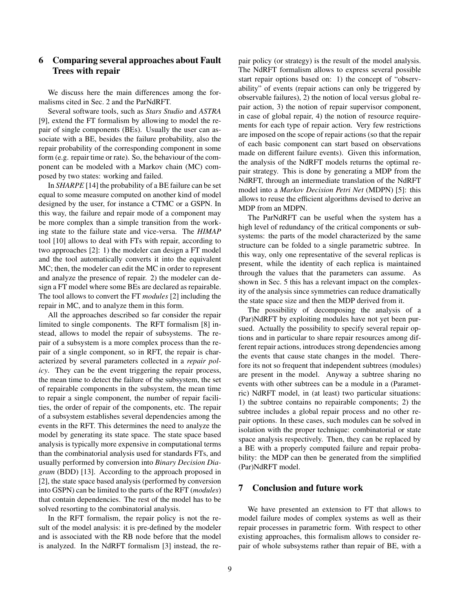# 6 Comparing several approaches about Fault Trees with repair

We discuss here the main differences among the formalisms cited in Sec. 2 and the ParNdRFT.

Several software tools, such as *Stars Studio* and *ASTRA* [9], extend the FT formalism by allowing to model the repair of single components (BEs). Usually the user can associate with a BE, besides the failure probability, also the repair probability of the corresponding component in some form (e.g. repair time or rate). So, the behaviour of the component can be modeled with a Markov chain (MC) composed by two states: working and failed.

In *SHARPE* [14] the probability of a BE failure can be set equal to some measure computed on another kind of model designed by the user, for instance a CTMC or a GSPN. In this way, the failure and repair mode of a component may be more complex than a simple transition from the working state to the failure state and vice-versa. The *HIMAP* tool [10] allows to deal with FTs with repair, according to two approaches [2]: 1) the modeler can design a FT model and the tool automatically converts it into the equivalent MC; then, the modeler can edit the MC in order to represent and analyze the presence of repair. 2) the modeler can design a FT model where some BEs are declared as repairable. The tool allows to convert the FT *modules* [2] including the repair in MC, and to analyze them in this form.

All the approaches described so far consider the repair limited to single components. The RFT formalism [8] instead, allows to model the repair of subsystems. The repair of a subsystem is a more complex process than the repair of a single component, so in RFT, the repair is characterized by several parameters collected in a *repair policy*. They can be the event triggering the repair process, the mean time to detect the failure of the subsystem, the set of repairable components in the subsystem, the mean time to repair a single component, the number of repair facilities, the order of repair of the components, etc. The repair of a subsystem establishes several dependencies among the events in the RFT. This determines the need to analyze the model by generating its state space. The state space based analysis is typically more expensive in computational terms than the combinatorial analysis used for standards FTs, and usually performed by conversion into *Binary Decision Diagram* (BDD) [13]. According to the approach proposed in [2], the state space based analysis (performed by conversion into GSPN) can be limited to the parts of the RFT (*modules*) that contain dependencies. The rest of the model has to be solved resorting to the combinatorial analysis.

In the RFT formalism, the repair policy is not the result of the model analysis: it is pre-defined by the modeler and is associated with the RB node before that the model is analyzed. In the NdRFT formalism [3] instead, the repair policy (or strategy) is the result of the model analysis. The NdRFT formalism allows to express several possible start repair options based on: 1) the concept of "observability" of events (repair actions can only be triggered by observable failures), 2) the notion of local versus global repair action, 3) the notion of repair supervisor component, in case of global repair, 4) the notion of resource requirements for each type of repair action. Very few restrictions are imposed on the scope of repair actions (so that the repair of each basic component can start based on observations made on different failure events). Given this information, the analysis of the NdRFT models returns the optimal repair strategy. This is done by generating a MDP from the NdRFT, through an intermediate translation of the NdRFT model into a *Markov Decision Petri Net* (MDPN) [5]: this allows to reuse the efficient algorithms devised to derive an MDP from an MDPN.

The ParNdRFT can be useful when the system has a high level of redundancy of the critical components or subsystems: the parts of the model characterized by the same structure can be folded to a single parametric subtree. In this way, only one representative of the several replicas is present, while the identity of each replica is maintained through the values that the parameters can assume. As shown in Sec. 5 this has a relevant impact on the complexity of the analysis since symmetries can reduce dramatically the state space size and then the MDP derived from it.

The possibility of decomposing the analysis of a (Par)NdRFT by exploiting modules have not yet been pursued. Actually the possibility to specify several repair options and in particular to share repair resources among different repair actions, introduces strong dependencies among the events that cause state changes in the model. Therefore its not so frequent that independent subtrees (modules) are present in the model. Anyway a subtree sharing no events with other subtrees can be a module in a (Parametric) NdRFT model, in (at least) two particular situations: 1) the subtree contains no repairable components; 2) the subtree includes a global repair process and no other repair options. In these cases, such modules can be solved in isolation with the proper technique: combinatorial or state space analysis respectively. Then, they can be replaced by a BE with a properly computed failure and repair probability: the MDP can then be generated from the simplified (Par)NdRFT model.

### 7 Conclusion and future work

We have presented an extension to FT that allows to model failure modes of complex systems as well as their repair processes in parametric form. With respect to other existing approaches, this formalism allows to consider repair of whole subsystems rather than repair of BE, with a